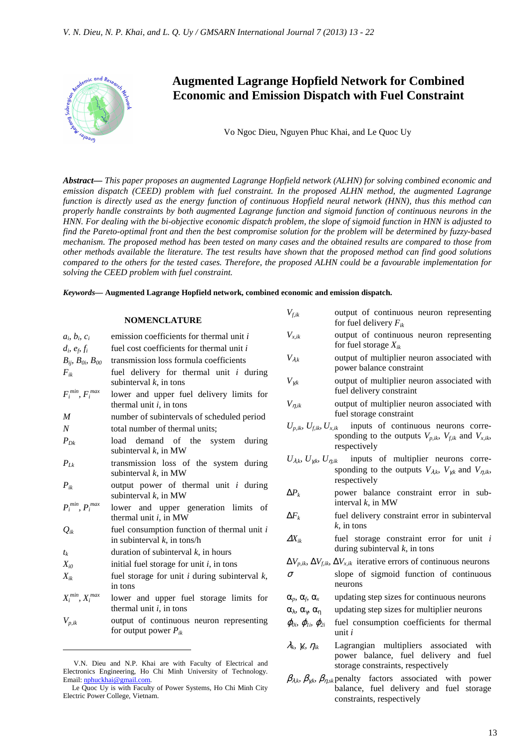

# **Augmented Lagrange Hopfield Network for Combined Economic and Emission Dispatch with Fuel Constraint**

Vo Ngoc Dieu, Nguyen Phuc Khai, and Le Quoc Uy

*Abstract***—** *This paper proposes an augmented Lagrange Hopfield network (ALHN) for solving combined economic and emission dispatch (CEED) problem with fuel constraint. In the proposed ALHN method, the augmented Lagrange function is directly used as the energy function of continuous Hopfield neural network (HNN), thus this method can properly handle constraints by both augmented Lagrange function and sigmoid function of continuous neurons in the HNN. For dealing with the bi-objective economic dispatch problem, the slope of sigmoid function in HNN is adjusted to find the Pareto-optimal front and then the best compromise solution for the problem will be determined by fuzzy-based mechanism. The proposed method has been tested on many cases and the obtained results are compared to those from other methods available the literature. The test results have shown that the proposed method can find good solutions compared to the others for the tested cases. Therefore, the proposed ALHN could be a favourable implementation for solving the CEED problem with fuel constraint.*

*Keywords***— Augmented Lagrange Hopfield network, combined economic and emission dispatch.**

# **NOMENCLATURE**

| $a_i$ , $b_i$ , $c_i$     | emission coefficients for thermal unit i                                      |  |
|---------------------------|-------------------------------------------------------------------------------|--|
| $d_i$ , $e_f$ , $f_i$     | fuel cost coefficients for thermal unit i                                     |  |
| $B_{ij}, B_{0i}, B_{00}$  | transmission loss formula coefficients                                        |  |
| $F_{ik}$                  | fuel delivery for thermal unit $i$ during<br>subinterval $k$ , in tons        |  |
| $F_i^{min}$ , $F_i^{max}$ | lower and upper fuel delivery limits for<br>thermal unit $i$ , in tons        |  |
| M                         | number of subintervals of scheduled period                                    |  |
| N                         | total number of thermal units;                                                |  |
| $P_{Dk}$                  | load demand of the system during<br>subinterval $k$ , in MW                   |  |
| $P_{Lk}$                  | transmission loss of the system during<br>subinterval $k$ , in MW             |  |
| $P_{ik}$                  | output power of thermal unit $i$ during<br>subinterval $k$ , in MW            |  |
| $P_i^{min}$ , $P_i^{max}$ | lower and upper generation limits of<br>thermal unit $i$ , in MW              |  |
| $Q_{ik}$                  | fuel consumption function of thermal unit i<br>in subinterval $k$ , in tons/h |  |
| $t_k$                     | duration of subinterval $k$ , in hours                                        |  |
| $X_{i0}$                  | initial fuel storage for unit $i$ , in tons                                   |  |
| $X_{ik}$                  | fuel storage for unit $i$ during subinterval $k$ ,                            |  |
|                           | in tons                                                                       |  |
| $X_i^{min}$ , $X_i^{max}$ | lower and upper fuel storage limits for<br>thermal unit $i$ , in tons         |  |
| $V_{p,ik}$                | output of continuous neuron representing<br>for output power $P_{ik}$         |  |

V.N. Dieu and N.P. Khai are with Faculty of Electrical and Electronics Engineering, Ho Chi Minh University of Technology. Email: nphuckhai@gmail.com.

 $\overline{a}$ 

- *V*<sub>*f,ik*</sub> output of continuous neuron representing for fuel delivery *Fik*  $V_{xik}$  output of continuous neuron representing
- for fuel storage *Xik*
- $V_{\lambda k}$  output of multiplier neuron associated with power balance constraint
- $V_{\gamma k}$  output of multiplier neuron associated with fuel delivery constraint
- $V_{nik}$  output of multiplier neuron associated with fuel storage constraint
- $U_{p,ik}$ ,  $U_{f,ik}$ ,  $U_{x,ik}$  inputs of continuous neurons corresponding to the outputs  $V_{p,ik}$ ,  $V_{f,ik}$  and  $V_{x,ik}$ , respectively
- $U_{\lambda k}$ ,  $U_{\gamma k}$ ,  $U_{nik}$  inputs of multiplier neurons corresponding to the outputs  $V_{\lambda,k}$ ,  $V_{\gamma,k}$  and  $V_{\eta,k}$ , respectively
- ∆*P<sup>k</sup>* power balance constraint error in subinterval *k*, in MW
- ∆*F<sup>k</sup>* fuel delivery constraint error in subinterval *k*, in tons
- <sup>∆</sup>*Xik* fuel storage constraint error for unit *i* during subinterval *k*, in tons
- $\Delta V_{p,ik}$ ,  $\Delta V_{f,ik}$ ,  $\Delta V_{x,ik}$  iterative errors of continuous neurons  $\sigma$  slope of sigmoid function of continuous
- neurons
- α*p*, α*<sup>f</sup>* , α*<sup>x</sup>* updating step sizes for continuous neurons
- α<sub>λ</sub>, α<sub>γ</sub>, α<sub>π</sub> updating step sizes for multiplier neurons
- $\varphi_{0i}, \varphi_{1i}, \varphi_{2i}$  fuel consumption coefficients for thermal unit *i*
- λ*k ,* γ*<sup>k</sup>* Lagrangian multipliers associated with power balance, fuel delivery and fuel storage constraints, respectively
- $\beta_{\lambda k}$ ,  $\beta_{\gamma k}$ ,  $\beta_{n s k}$  penalty factors associated with power balance, fuel delivery and fuel storage constraints, respectively

Le Quoc Uy is with Faculty of Power Systems, Ho Chi Minh City Electric Power College, Vietnam.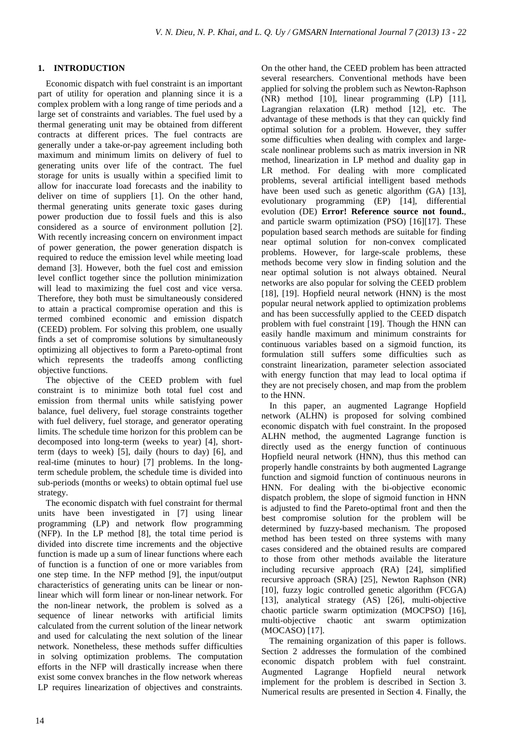# **1. INTRODUCTION**

Economic dispatch with fuel constraint is an important part of utility for operation and planning since it is a complex problem with a long range of time periods and a large set of constraints and variables. The fuel used by a thermal generating unit may be obtained from different contracts at different prices. The fuel contracts are generally under a take-or-pay agreement including both maximum and minimum limits on delivery of fuel to generating units over life of the contract. The fuel storage for units is usually within a specified limit to allow for inaccurate load forecasts and the inability to deliver on time of suppliers [1]. On the other hand, thermal generating units generate toxic gases during power production due to fossil fuels and this is also considered as a source of environment pollution [2]. With recently increasing concern on environment impact of power generation, the power generation dispatch is required to reduce the emission level while meeting load demand [3]. However, both the fuel cost and emission level conflict together since the pollution minimization will lead to maximizing the fuel cost and vice versa. Therefore, they both must be simultaneously considered to attain a practical compromise operation and this is termed combined economic and emission dispatch (CEED) problem. For solving this problem, one usually finds a set of compromise solutions by simultaneously optimizing all objectives to form a Pareto-optimal front which represents the tradeoffs among conflicting objective functions.

The objective of the CEED problem with fuel constraint is to minimize both total fuel cost and emission from thermal units while satisfying power balance, fuel delivery, fuel storage constraints together with fuel delivery, fuel storage, and generator operating limits. The schedule time horizon for this problem can be decomposed into long-term (weeks to year) [4], shortterm (days to week) [5], daily (hours to day) [6], and real-time (minutes to hour) [7] problems. In the longterm schedule problem, the schedule time is divided into sub-periods (months or weeks) to obtain optimal fuel use strategy.

The economic dispatch with fuel constraint for thermal units have been investigated in [7] using linear programming (LP) and network flow programming (NFP). In the LP method [8], the total time period is divided into discrete time increments and the objective function is made up a sum of linear functions where each of function is a function of one or more variables from one step time. In the NFP method [9], the input/output characteristics of generating units can be linear or nonlinear which will form linear or non-linear network. For the non-linear network, the problem is solved as a sequence of linear networks with artificial limits calculated from the current solution of the linear network and used for calculating the next solution of the linear network. Nonetheless, these methods suffer difficulties in solving optimization problems. The computation efforts in the NFP will drastically increase when there exist some convex branches in the flow network whereas LP requires linearization of objectives and constraints.

On the other hand, the CEED problem has been attracted several researchers. Conventional methods have been applied for solving the problem such as Newton-Raphson (NR) method [10], linear programming (LP) [11], Lagrangian relaxation (LR) method [12], etc. The advantage of these methods is that they can quickly find optimal solution for a problem. However, they suffer some difficulties when dealing with complex and largescale nonlinear problems such as matrix inversion in NR method, linearization in LP method and duality gap in LR method. For dealing with more complicated problems, several artificial intelligent based methods have been used such as genetic algorithm (GA) [13], evolutionary programming (EP) [14], differential evolution (DE) **Error! Reference source not found.**, and particle swarm optimization (PSO) [16][17]. These population based search methods are suitable for finding near optimal solution for non-convex complicated problems. However, for large-scale problems, these methods become very slow in finding solution and the near optimal solution is not always obtained. Neural networks are also popular for solving the CEED problem [18], [19]. Hopfield neural network (HNN) is the most popular neural network applied to optimization problems and has been successfully applied to the CEED dispatch problem with fuel constraint [19]. Though the HNN can easily handle maximum and minimum constraints for continuous variables based on a sigmoid function, its formulation still suffers some difficulties such as constraint linearization, parameter selection associated with energy function that may lead to local optima if they are not precisely chosen, and map from the problem to the HNN.

In this paper, an augmented Lagrange Hopfield network (ALHN) is proposed for solving combined economic dispatch with fuel constraint. In the proposed ALHN method, the augmented Lagrange function is directly used as the energy function of continuous Hopfield neural network (HNN), thus this method can properly handle constraints by both augmented Lagrange function and sigmoid function of continuous neurons in HNN. For dealing with the bi-objective economic dispatch problem, the slope of sigmoid function in HNN is adjusted to find the Pareto-optimal front and then the best compromise solution for the problem will be determined by fuzzy**-**based mechanism. The proposed method has been tested on three systems with many cases considered and the obtained results are compared to those from other methods available the literature including recursive approach (RA) [24], simplified recursive approach (SRA) [25], Newton Raphson (NR) [10], fuzzy logic controlled genetic algorithm (FCGA) [13], analytical strategy (AS) [26], multi-objective chaotic particle swarm optimization (MOCPSO) [16], multi-objective chaotic ant swarm optimization (MOCASO) [17].

The remaining organization of this paper is follows. Section 2 addresses the formulation of the combined economic dispatch problem with fuel constraint. Augmented Lagrange Hopfield neural network implement for the problem is described in Section 3. Numerical results are presented in Section 4. Finally, the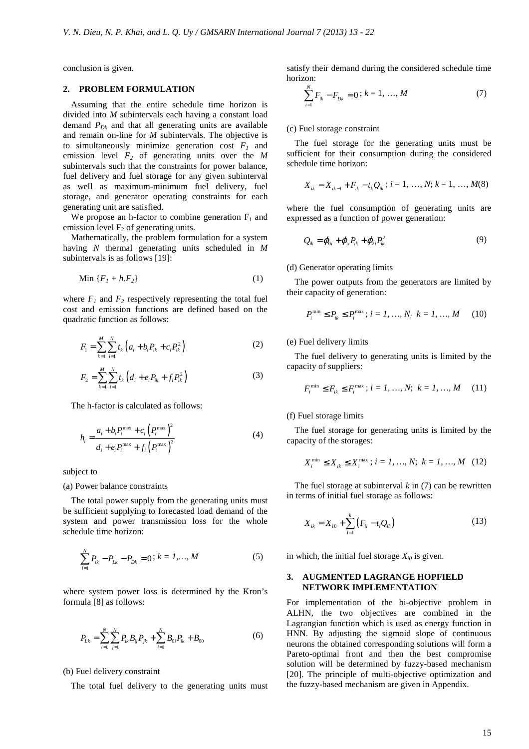conclusion is given.

# **2. PROBLEM FORMULATION**

Assuming that the entire schedule time horizon is divided into *M* subintervals each having a constant load demand *PDk* and that all generating units are available and remain on-line for *M* subintervals. The objective is to simultaneously minimize generation cost  $F_I$  and emission level *F2* of generating units over the *M* subintervals such that the constraints for power balance, fuel delivery and fuel storage for any given subinterval as well as maximum-minimum fuel delivery, fuel storage, and generator operating constraints for each generating unit are satisfied.

We propose an h-factor to combine generation  $F_1$  and emission level  $F<sub>2</sub>$  of generating units.

Mathematically, the problem formulation for a system having *N* thermal generating units scheduled in *M* subintervals is as follows [19]:

$$
\text{Min}\,\left\{F_1 + h.F_2\right\} \tag{1}
$$

where  $F_1$  and  $F_2$  respectively representing the total fuel cost and emission functions are defined based on the quadratic function as follows:

$$
F_1 = \sum_{k=1}^{M} \sum_{i=1}^{N} t_k \left( a_i + b_i P_{ik} + c_i P_{ik}^2 \right)
$$
 (2)

$$
F_2 = \sum_{k=1}^{M} \sum_{i=1}^{N} t_k \left( d_i + e_i P_{ik} + f_i P_{ik}^2 \right)
$$
 (3)

The h-factor is calculated as follows:

$$
h_{i} = \frac{a_{i} + b_{i} P_{i}^{\max} + c_{i} (P_{i}^{\max})^{2}}{d_{i} + e_{i} P_{i}^{\max} + f_{i} (P_{i}^{\max})^{2}}
$$
(4)

subject to

(a) Power balance constraints

The total power supply from the generating units must be sufficient supplying to forecasted load demand of the system and power transmission loss for the whole schedule time horizon:

$$
\sum_{i=1}^{N} P_{ik} - P_{Lk} - P_{Dk} = 0; k = 1, ..., M
$$
 (5)

where system power loss is determined by the Kron's formula [8] as follows:

$$
P_{lk} = \sum_{i=1}^{N} \sum_{j=1}^{N} P_{ik} B_{ij} P_{jk} + \sum_{i=1}^{N} B_{0i} P_{ik} + B_{00}
$$
 (6)

#### (b) Fuel delivery constraint

The total fuel delivery to the generating units must

satisfy their demand during the considered schedule time horizon:

$$
\sum_{i=1}^{N} F_{ik} - F_{Dk} = 0; k = 1, ..., M
$$
 (7)

#### (c) Fuel storage constraint

The fuel storage for the generating units must be sufficient for their consumption during the considered schedule time horizon:

$$
X_{ik} = X_{ik-1} + F_{ik} - t_k Q_{ik}
$$
;  $i = 1, ..., N$ ;  $k = 1, ..., M(8)$ 

where the fuel consumption of generating units are expressed as a function of power generation:

$$
Q_{ik} = \varphi_{0i} + \varphi_{1i} P_{ik} + \varphi_{2i} P_{ik}^2
$$
 (9)

#### (d) Generator operating limits

The power outputs from the generators are limited by their capacity of generation:

$$
P_i^{\min} \le P_{ik} \le P_i^{\max}; i = 1, ..., N; k = 1, ..., M \qquad (10)
$$

#### (e) Fuel delivery limits

The fuel delivery to generating units is limited by the capacity of suppliers:

$$
F_i^{\min} \le F_{ik} \le F_i^{\max}; i = 1, ..., N; k = 1, ..., M \quad (11)
$$

#### (f) Fuel storage limits

The fuel storage for generating units is limited by the capacity of the storages:

$$
X_i^{\min} \le X_{ik} \le X_i^{\max} ; i = 1, ..., N; k = 1, ..., M \quad (12)
$$

The fuel storage at subinterval  $k$  in  $(7)$  can be rewritten in terms of initial fuel storage as follows:

$$
X_{ik} = X_{i0} + \sum_{l=1}^{k} (F_{il} - t_l Q_{il})
$$
\n(13)

in which, the initial fuel storage  $X_{i0}$  is given.

# **3. AUGMENTED LAGRANGE HOPFIELD NETWORK IMPLEMENTATION**

For implementation of the bi-objective problem in ALHN, the two objectives are combined in the Lagrangian function which is used as energy function in HNN. By adjusting the sigmoid slope of continuous neurons the obtained corresponding solutions will form a Pareto-optimal front and then the best compromise solution will be determined by fuzzy-based mechanism [20]. The principle of multi-objective optimization and the fuzzy-based mechanism are given in Appendix.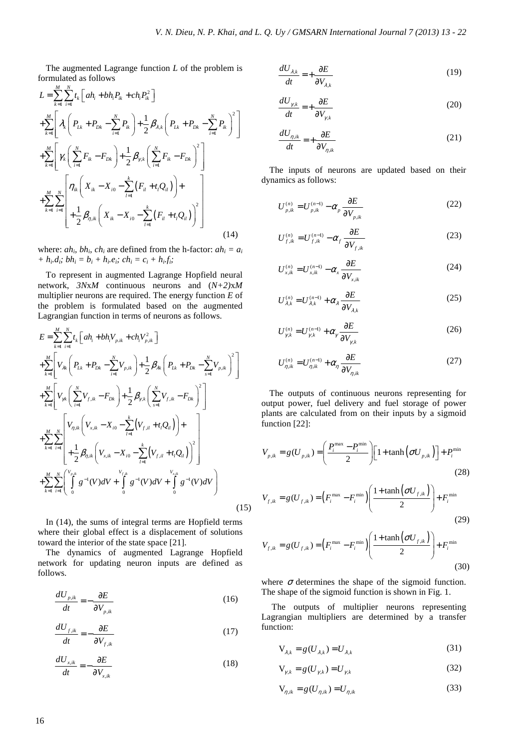The augmented Lagrange function *L* of the problem is formulated as follows

$$
L = \sum_{k=1}^{M} \sum_{i=1}^{N} t_{k} \left[ a h_{i} + b h_{i} P_{ik} + c h_{i} P_{ik}^{2} \right]
$$
  
+ 
$$
\sum_{k=1}^{M} \left[ \lambda_{k} \left( P_{L k} + P_{D k} - \sum_{i=1}^{N} P_{ik} \right) + \frac{1}{2} \beta_{\lambda k} \left( P_{L k} + P_{D k} - \sum_{i=1}^{N} P_{ik} \right)^{2} \right]
$$
  
+ 
$$
\sum_{k=1}^{M} \left[ \gamma_{k} \left( \sum_{i=1}^{N} F_{ik} - F_{D k} \right) + \frac{1}{2} \beta_{\gamma k} \left( \sum_{i=1}^{N} F_{ik} - F_{D k} \right)^{2} \right]
$$
  
+ 
$$
\sum_{k=1}^{M} \sum_{i=1}^{N} \left[ \eta_{k} \left( X_{ik} - X_{i0} - \sum_{l=1}^{k} \left( F_{il} + t_{l} Q_{il} \right) \right) + \sum_{l=1}^{M} \sum_{i=1}^{N} \left( F_{il} + t_{l} Q_{il} \right)^{2} \right]
$$
(14)

where:  $ah_i$ ,  $bh_i$ ,  $ch_i$  are defined from the h-factor:  $ah_i = a_i$ *+ h*<sub>*i*</sub>.*d*<sub>*i*</sub>; *bh*<sub>*i*</sub> = *b*<sub>*i*</sub> + *h*<sub>*i*</sub>.*e*<sub>*i*</sub>; *ch*<sub>*i*</sub> = *c*<sub>*i*</sub> + *h*<sub>*i*</sub>.*f*<sub>*i*</sub><sup>;</sup>

To represent in augmented Lagrange Hopfield neural network, *3N*x*M* continuous neurons and (*N+2)*x*M* multiplier neurons are required. The energy function *E* of the problem is formulated based on the augmented Lagrangian function in terms of neurons as follows.

$$
E = \sum_{k=1}^{M} \sum_{i=1}^{N} t_k \left[ a h_i + b h_i V_{p,ik} + c h_i V_{p,ik}^2 \right]
$$
  
+ 
$$
\sum_{k=1}^{M} \left[ V_{\lambda k} \left( P_{Lk} + P_{Dk} - \sum_{i=1}^{N} V_{p,ik} \right) + \frac{1}{2} \beta_{\lambda k} \left( P_{Lk} + P_{Dk} - \sum_{s=1}^{N} V_{p,ik} \right)^2 \right]
$$
  
+ 
$$
\sum_{k=1}^{M} \left[ V_{\gamma k} \left( \sum_{i=1}^{N} V_{f,ik} - F_{Dk} \right) + \frac{1}{2} \beta_{\gamma k} \left( \sum_{s=1}^{N} V_{f,ik} - F_{Dk} \right)^2 \right]
$$
  
+ 
$$
\sum_{k=1}^{M} \sum_{i=1}^{N} \left[ V_{\eta,ik} \left( V_{x,ik} - X_{i0} - \sum_{l=1}^{k} \left( V_{f,il} + t_l Q_{il} \right) \right) + \right]
$$
  
+ 
$$
\sum_{k=1}^{M} \sum_{i=1}^{N} \left( \int_{0}^{V_{p,k}} g^{-1}(V) dV + \int_{0}^{V_{f,k}} g^{-1}(V) dV + \int_{0}^{V_{\chi,ik}} g^{-1}(V) dV \right)
$$
(15)

In (14), the sums of integral terms are Hopfield terms where their global effect is a displacement of solutions toward the interior of the state space [21].

The dynamics of augmented Lagrange Hopfield network for updating neuron inputs are defined as follows.

$$
\frac{dU_{p,ik}}{dt} = -\frac{\partial E}{\partial V_{p,ik}}\tag{16}
$$

$$
\frac{dU_{f,ik}}{dt} = -\frac{\partial E}{\partial V_{f,ik}}\tag{17}
$$

$$
\frac{dU_{x,ik}}{dt} = -\frac{\partial E}{\partial V_{x,ik}}\tag{18}
$$

$$
\frac{dU_{\lambda,k}}{dt} = +\frac{\partial E}{\partial V_{\lambda,k}}\tag{19}
$$

$$
\frac{dU_{\gamma,k}}{dt} = +\frac{\partial E}{\partial V_{\gamma,k}}\tag{20}
$$

$$
\frac{dU_{\eta,ik}}{dt} = +\frac{\partial E}{\partial V_{\eta,ik}}\tag{21}
$$

The inputs of neurons are updated based on their dynamics as follows:

$$
U_{p,ik}^{(n)} = U_{p,ik}^{(n-1)} - \alpha_p \frac{\partial E}{\partial V_{p,ik}}
$$
 (22)

$$
U_{f,ik}^{(n)} = U_{f,ik}^{(n-1)} - \alpha_f \frac{\partial E}{\partial V_{f,ik}}
$$
 (23)

$$
U_{x,ik}^{(n)} = U_{x,ik}^{(n-1)} - \alpha_x \frac{\partial E}{\partial V_{x,ik}}
$$
 (24)

$$
U_{\lambda,k}^{(n)} = U_{\lambda,k}^{(n-1)} + \alpha_{\lambda} \frac{\partial E}{\partial V_{\lambda,k}}
$$
 (25)

$$
U_{\gamma,k}^{(n)} = U_{\gamma,k}^{(n-1)} + \alpha_{\gamma} \frac{\partial E}{\partial V_{\gamma,k}}
$$
 (26)

$$
U_{\eta,k}^{(n)} = U_{\eta,k}^{(n-1)} + \alpha_{\eta} \frac{\partial E}{\partial V_{\eta,k}}
$$
\n
$$
\tag{27}
$$

The outputs of continuous neurons representing for output power, fuel delivery and fuel storage of power plants are calculated from on their inputs by a sigmoid function [22]:

$$
V_{p,ik} = g(U_{p,ik}) = \left(\frac{P_i^{\max} - P_i^{\min}}{2}\right) \left[1 + \tanh\left(\sigma U_{p,ik}\right)\right] + P_i^{\min}
$$
\n(28)

$$
V_{f,ik} = g(U_{f,ik}) = \left(F_i^{\max} - F_i^{\min}\right) \left(\frac{1 + \tanh\left(\sigma U_{f,ik}\right)}{2}\right) + F_i^{\min}
$$
\n(29)

$$
V_{f,ik} = g(U_{f,ik}) = \left(F_i^{\max} - F_i^{\min}\right) \left(\frac{1 + \tanh\left(\sigma U_{f,ik}\right)}{2}\right) + F_i^{\min}
$$
\n(30)

where  $\sigma$  determines the shape of the sigmoid function. The shape of the sigmoid function is shown in Fig. 1.

 The outputs of multiplier neurons representing Lagrangian multipliers are determined by a transfer function:

$$
V_{\lambda,k} = g(U_{\lambda,k}) = U_{\lambda,k}
$$
 (31)

$$
V_{\gamma,k} = g(U_{\gamma,k}) = U_{\gamma,k}
$$
 (32)

$$
V_{\eta,ik} = g(U_{\eta,ik}) = U_{\eta,ik}
$$
\n(33)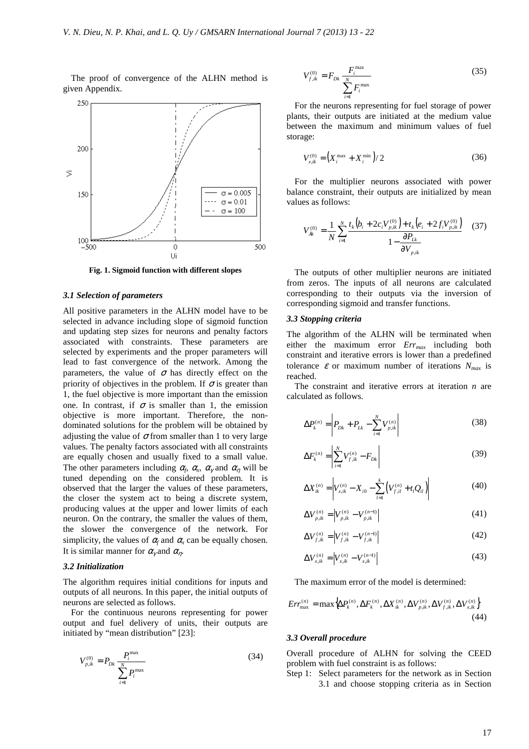The proof of convergence of the ALHN method is given Appendix.



**Fig. 1. Sigmoid function with different slopes**

# *3.1 Selection of parameters*

All positive parameters in the ALHN model have to be selected in advance including slope of sigmoid function and updating step sizes for neurons and penalty factors associated with constraints. These parameters are selected by experiments and the proper parameters will lead to fast convergence of the network. Among the parameters, the value of  $\sigma$  has directly effect on the priority of objectives in the problem. If  $\sigma$  is greater than 1, the fuel objective is more important than the emission one. In contrast, if  $\sigma$  is smaller than 1, the emission objective is more important. Therefore, the nondominated solutions for the problem will be obtained by adjusting the value of  $\sigma$  from smaller than 1 to very large values. The penalty factors associated with all constraints are equally chosen and usually fixed to a small value. The other parameters including  $\alpha_f$ ,  $\alpha_x$ ,  $\alpha_y$  and  $\alpha_\eta$  will be tuned depending on the considered problem. It is observed that the larger the values of these parameters, the closer the system act to being a discrete system, producing values at the upper and lower limits of each neuron. On the contrary, the smaller the values of them, the slower the convergence of the network. For simplicity, the values of  $\alpha_f$  and  $\alpha_x$  can be equally chosen. It is similar manner for  $\alpha_{\nu}$  and  $\alpha_{n}$ .

# *3.2 Initialization*

The algorithm requires initial conditions for inputs and outputs of all neurons. In this paper, the initial outputs of neurons are selected as follows.

For the continuous neurons representing for power output and fuel delivery of units, their outputs are initiated by "mean distribution" [23]:

$$
V_{p,ik}^{(0)} = P_{Dk} \frac{P_i^{\max}}{\sum_{i=1}^N P_i^{\max}}
$$
 (34)

$$
V_{f,ik}^{(0)} = F_{Dk} \frac{F_i^{\max}}{\sum_{i=1}^{N} F_i^{\max}}
$$
(35)

For the neurons representing for fuel storage of power plants, their outputs are initiated at the medium value between the maximum and minimum values of fuel storage:

$$
V_{x,ik}^{(0)} = \left(X_i^{\max} + X_i^{\min}\right) / 2
$$
 (36)

For the multiplier neurons associated with power balance constraint, their outputs are initialized by mean values as follows:

$$
V_{\lambda k}^{(0)} = \frac{1}{N} \sum_{i=1}^{N} \frac{t_k \left(b_i + 2c_i V_{p,ik}^{(0)}\right) + t_k \left(e_i + 2f_i V_{p,ik}^{(0)}\right)}{1 - \frac{\partial P_{L k}}{\partial V_{p,ik}}}
$$
(37)

The outputs of other multiplier neurons are initiated from zeros. The inputs of all neurons are calculated corresponding to their outputs via the inversion of corresponding sigmoid and transfer functions.

#### *3.3 Stopping criteria*

The algorithm of the ALHN will be terminated when either the maximum error *Errmax* including both constraint and iterative errors is lower than a predefined tolerance  $\varepsilon$  or maximum number of iterations  $N_{max}$  is reached.

The constraint and iterative errors at iteration *n* are calculated as follows.

$$
\Delta P_k^{(n)} = \left| P_{Dk} + P_{Lk} - \sum_{i=1}^N V_{p,ik}^{(n)} \right| \tag{38}
$$

$$
\Delta F_k^{(n)} = \left| \sum_{i=1}^N V_{f,ik}^{(n)} - F_{Dk} \right| \tag{39}
$$

$$
\Delta X_{ik}^{(n)} = \left| V_{x,ik}^{(n)} - X_{i0} - \sum_{l=1}^{k} \left( V_{f,il}^{(n)} + t_l Q_{il} \right) \right| \tag{40}
$$

$$
\Delta V_{p,ik}^{(n)} = \left| V_{p,ik}^{(n)} - V_{p,ik}^{(n-1)} \right| \tag{41}
$$

$$
\Delta V_{f,ik}^{(n)} = \left| V_{f,ik}^{(n)} - V_{f,ik}^{(n-1)} \right| \tag{42}
$$

$$
\Delta V_{x,ik}^{(n)} = \left| V_{x,ik}^{(n)} - V_{x,ik}^{(n-1)} \right| \tag{43}
$$

The maximum error of the model is determined:

$$
Err_{\max}^{(n)} = \max\left\{\Delta P_k^{(n)}, \Delta F_k^{(n)}, \Delta X_{ik}^{(n)}, \Delta V_{p,ik}^{(n)}, \Delta V_{f,ik}^{(n)}, \Delta V_{x,ik}^{(n)}\right\}
$$
\n(44)

#### *3.3 Overall procedure*

Overall procedure of ALHN for solving the CEED problem with fuel constraint is as follows:

Step 1: Select parameters for the network as in Section 3.1 and choose stopping criteria as in Section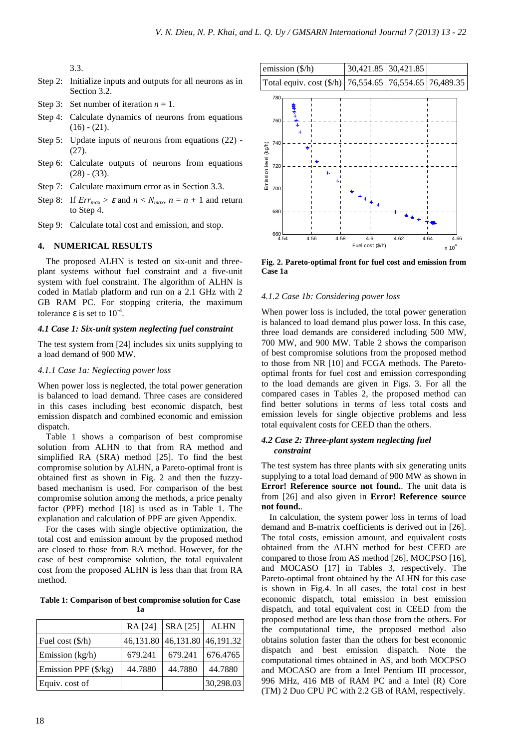3.3.

- Step 2: Initialize inputs and outputs for all neurons as in Section 3.2.
- Step 3: Set number of iteration  $n = 1$ .
- Step 4: Calculate dynamics of neurons from equations  $(16) - (21)$ .
- Step 5: Update inputs of neurons from equations (22) (27).
- Step 6: Calculate outputs of neurons from equations  $(28) - (33)$ .
- Step 7: Calculate maximum error as in Section 3.3.
- Step 8: If  $Err_{max} > \varepsilon$  and  $n < N_{max}$ ,  $n = n + 1$  and return to Step 4.
- Step 9: Calculate total cost and emission, and stop.

# **4. NUMERICAL RESULTS**

The proposed ALHN is tested on six-unit and threeplant systems without fuel constraint and a five-unit system with fuel constraint. The algorithm of ALHN is coded in Matlab platform and run on a 2.1 GHz with 2 GB RAM PC. For stopping criteria, the maximum tolerance ε is set to  $10^{-4}$ .

# *4.1 Case 1: Six-unit system neglecting fuel constraint*

The test system from [24] includes six units supplying to a load demand of 900 MW.

# *4.1.1 Case 1a: Neglecting power loss*

When power loss is neglected, the total power generation is balanced to load demand. Three cases are considered in this cases including best economic dispatch, best emission dispatch and combined economic and emission dispatch.

Table 1 shows a comparison of best compromise solution from ALHN to that from RA method and simplified RA (SRA) method [25]. To find the best compromise solution by ALHN, a Pareto-optimal front is obtained first as shown in Fig. 2 and then the fuzzybased mechanism is used. For comparison of the best compromise solution among the methods, a price penalty factor (PPF) method [18] is used as in Table 1. The explanation and calculation of PPF are given Appendix.

For the cases with single objective optimization, the total cost and emission amount by the proposed method are closed to those from RA method. However, for the case of best compromise solution, the total equivalent cost from the proposed ALHN is less than that from RA method.

**Table 1: Comparison of best compromise solution for Case 1a** 

|                               | RA [24]   | SRA [25]  | <b>ALHN</b> |
|-------------------------------|-----------|-----------|-------------|
| Fuel cost $(\frac{6}{h})$     | 46,131.80 | 46,131.80 | 46, 191.32  |
| Emission (kg/h)               | 679.241   | 679.241   | 676.4765    |
| Emission PPF $(\frac{5}{kg})$ | 44.7880   | 44.7880   | 44.7880     |
| Equiv. cost of                |           |           | 30,298.03   |



**Fig. 2. Pareto-optimal front for fuel cost and emission from Case 1a** 

#### *4.1.2 Case 1b: Considering power loss*

When power loss is included, the total power generation is balanced to load demand plus power loss. In this case, three load demands are considered including 500 MW, 700 MW, and 900 MW. Table 2 shows the comparison of best compromise solutions from the proposed method to those from NR [10] and FCGA methods. The Paretooptimal fronts for fuel cost and emission corresponding to the load demands are given in Figs. 3. For all the compared cases in Tables 2, the proposed method can find better solutions in terms of less total costs and emission levels for single objective problems and less total equivalent costs for CEED than the others.

## *4.2 Case 2: Three-plant system neglecting fuel constraint*

The test system has three plants with six generating units supplying to a total load demand of 900 MW as shown in **Error! Reference source not found.**. The unit data is from [26] and also given in **Error! Reference source not found.**.

In calculation, the system power loss in terms of load demand and B-matrix coefficients is derived out in [26]. The total costs, emission amount, and equivalent costs obtained from the ALHN method for best CEED are compared to those from AS method [26], MOCPSO [16], and MOCASO [17] in Tables 3, respectively. The Pareto-optimal front obtained by the ALHN for this case is shown in Fig.4. In all cases, the total cost in best economic dispatch, total emission in best emission dispatch, and total equivalent cost in CEED from the proposed method are less than those from the others. For the computational time, the proposed method also obtains solution faster than the others for best economic dispatch and best emission dispatch. Note the computational times obtained in AS, and both MOCPSO and MOCASO are from a Intel Pentium III processor, 996 MHz, 416 MB of RAM PC and a Intel (R) Core (TM) 2 Duo CPU PC with 2.2 GB of RAM, respectively.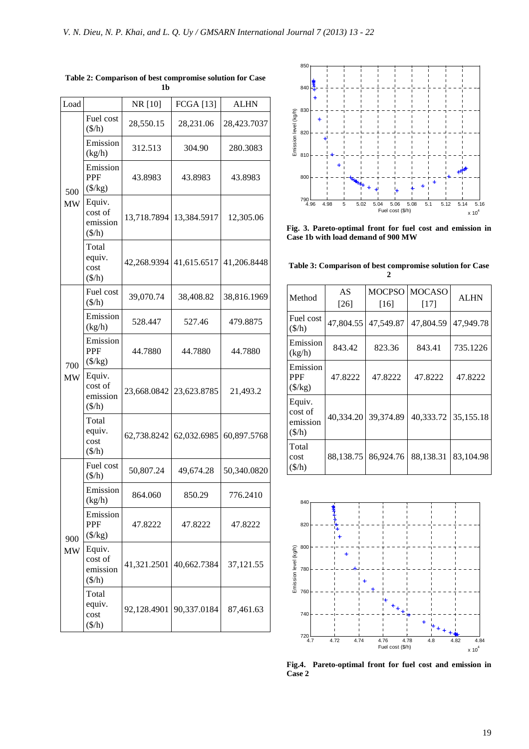| Load             |                                                         | NR [10]     | <b>FCGA</b> [13] | <b>ALHN</b> |
|------------------|---------------------------------------------------------|-------------|------------------|-------------|
| 500<br><b>MW</b> | Fuel cost<br>$(\frac{\sqrt{h}}{h})$                     | 28,550.15   | 28,231.06        | 28,423.7037 |
|                  | Emission<br>(kg/h)                                      | 312.513     | 304.90           | 280.3083    |
|                  | Emission<br>PPF<br>$(\frac{5}{kg})$                     | 43.8983     | 43.8983          | 43.8983     |
|                  | Equiv.<br>cost of<br>emission<br>$(\frac{\sqrt{2}}{h})$ | 13,718.7894 | 13,384.5917      | 12,305.06   |
|                  | Total<br>equiv.<br>cost<br>$(\frac{\sqrt{h}}{h})$       | 42,268.9394 | 41,615.6517      | 41,206.8448 |
| 700<br><b>MW</b> | Fuel cost<br>$(\frac{\sqrt{h}}{h})$                     | 39,070.74   | 38,408.82        | 38,816.1969 |
|                  | Emission<br>(kg/h)                                      | 528.447     | 527.46           | 479.8875    |
|                  | Emission<br>PPF<br>$(\frac{$}{kg})$                     | 44.7880     | 44.7880          | 44.7880     |
|                  | Equiv.<br>cost of<br>emission<br>$(\frac{\sqrt{h}}{h})$ | 23,668.0842 | 23,623.8785      | 21,493.2    |
|                  | Total<br>equiv.<br>cost<br>$(\frac{\sqrt{h}}{h})$       | 62,738.8242 | 62,032.6985      | 60,897.5768 |
|                  | Fuel cost<br>$(\frac{\sqrt{h}}{h})$                     | 50,807.24   | 49,674.28        | 50,340.0820 |
| 900<br><b>MW</b> | Emission<br>(kg/h)                                      | 864.060     | 850.29           | 776.2410    |
|                  | Emission<br><b>PPF</b><br>$(\frac{5}{kg})$              | 47.8222     | 47.8222          | 47.8222     |
|                  | Equiv.<br>cost of<br>emission<br>$(\frac{\pi}{h})$      | 41,321.2501 | 40,662.7384      | 37,121.55   |
|                  | Total<br>equiv.<br>cost<br>$(\frac{\sqrt{h}}{h})$       | 92,128.4901 | 90,337.0184      | 87,461.63   |

**Table 2: Comparison of best compromise solution for Case 1b** 



**Fig. 3. Pareto-optimal front for fuel cost and emission in Case 1b with load demand of 900 MW** 

**Table 3: Comparison of best compromise solution for Case 2** 

| Method                                             | AS<br>[26] | <b>MOCPSO</b><br>[16] | <b>MOCASO</b><br>$[17]$ | <b>ALHN</b> |
|----------------------------------------------------|------------|-----------------------|-------------------------|-------------|
| Fuel cost<br>$(\frac{\pi}{2})$                     | 47,804.55  | 47,549.87             | 47,804.59               | 47,949.78   |
| Emission<br>(kg/h)                                 | 843.42     | 823.36                | 843.41                  | 735.1226    |
| Emission<br><b>PPF</b><br>$(\frac{$}{kg})$         | 47.8222    | 47.8222               | 47.8222                 | 47.8222     |
| Equiv.<br>cost of<br>emission<br>$(\frac{\pi}{2})$ | 40,334.20  | 39,374.89             | 40,333.72               | 35,155.18   |
| Total<br>cost<br>$(\frac{\sqrt{h}}{h})$            | 88,138.75  | 86,924.76             | 88,138.31               | 83,104.98   |



**Fig.4. Pareto-optimal front for fuel cost and emission in Case 2**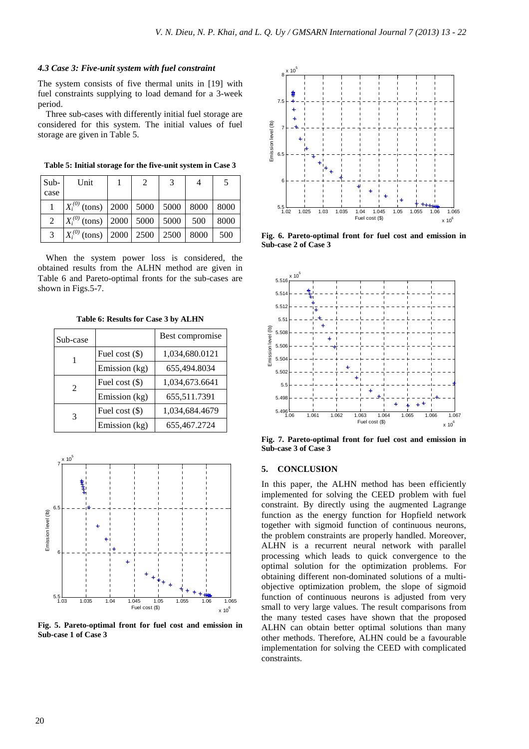## *4.3 Case 3: Five-unit system with fuel constraint*

The system consists of five thermal units in [19] with fuel constraints supplying to load demand for a 3-week period.

Three sub-cases with differently initial fuel storage are considered for this system. The initial values of fuel storage are given in Table 5.

| $Sub-$         | Unit                                           | 2 | - 3 | $\overline{4}$ | 5    |
|----------------|------------------------------------------------|---|-----|----------------|------|
| case           |                                                |   |     |                |      |
| $\mathbf{1}$   | $X_i^{(0)}$ (tons)   2000   5000   5000   8000 |   |     |                | 8000 |
| $\overline{2}$ | $X_i^{(0)}$ (tons)   2000   5000   5000   500  |   |     |                | 8000 |
| $\overline{3}$ | $X_i^{(0)}$ (tons)   2000   2500   2500        |   |     | 8000           | 500  |

**Table 5: Initial storage for the five-unit system in Case 3** 

When the system power loss is considered, the obtained results from the ALHN method are given in Table 6 and Pareto-optimal fronts for the sub-cases are shown in Figs.5-7.

**Table 6: Results for Case 3 by ALHN** 

| Sub-case       |                  | Best compromise |
|----------------|------------------|-----------------|
| 1              | Fuel cost $(\$)$ | 1,034,680.0121  |
|                | Emission (kg)    | 655,494.8034    |
| $\mathfrak{D}$ | Fuel cost $(\$)$ | 1,034,673.6641  |
|                | Emission (kg)    | 655,511.7391    |
| 3              | Fuel cost (\$)   | 1,034,684.4679  |
|                | Emission (kg)    | 655,467.2724    |



**Fig. 5. Pareto-optimal front for fuel cost and emission in Sub-case 1 of Case 3** 



**Fig. 6. Pareto-optimal front for fuel cost and emission in Sub-case 2 of Case 3** 



**Fig. 7. Pareto-optimal front for fuel cost and emission in Sub-case 3 of Case 3** 

#### **5. CONCLUSION**

In this paper, the ALHN method has been efficiently implemented for solving the CEED problem with fuel constraint. By directly using the augmented Lagrange function as the energy function for Hopfield network together with sigmoid function of continuous neurons, the problem constraints are properly handled. Moreover, ALHN is a recurrent neural network with parallel processing which leads to quick convergence to the optimal solution for the optimization problems. For obtaining different non-dominated solutions of a multiobjective optimization problem, the slope of sigmoid function of continuous neurons is adjusted from very small to very large values. The result comparisons from the many tested cases have shown that the proposed ALHN can obtain better optimal solutions than many other methods. Therefore, ALHN could be a favourable implementation for solving the CEED with complicated constraints.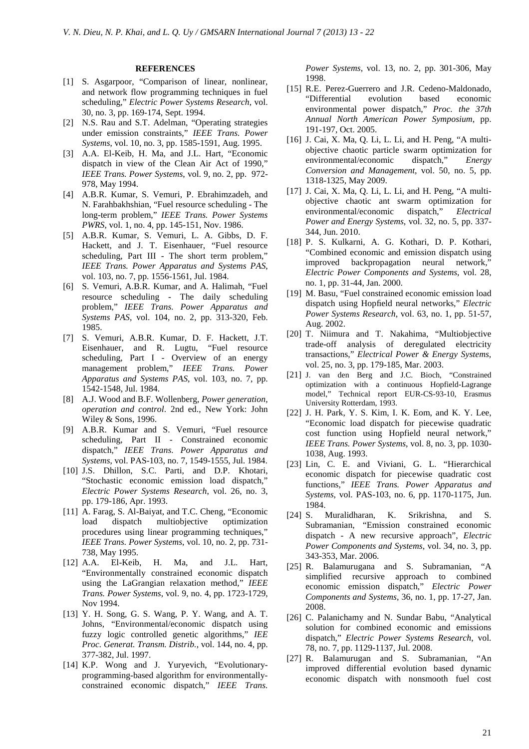#### **REFERENCES**

- [1] S. Asgarpoor, "Comparison of linear, nonlinear, and network flow programming techniques in fuel scheduling," *Electric Power Systems Research*, vol. 30, no. 3, pp. 169-174, Sept. 1994.
- [2] N.S. Rau and S.T. Adelman, "Operating strategies under emission constraints," *IEEE Trans. Power Systems*, vol. 10, no. 3, pp. 1585-1591, Aug. 1995.
- [3] A.A. El-Keib, H. Ma, and J.L. Hart, "Economic dispatch in view of the Clean Air Act of 1990," *IEEE Trans. Power Systems*, vol. 9, no. 2, pp. 972- 978, May 1994.
- [4] A.B.R. Kumar, S. Vemuri, P. Ebrahimzadeh, and N. Farahbakhshian, "Fuel resource scheduling - The long-term problem," *IEEE Trans. Power Systems PWRS*, vol. 1, no. 4, pp. 145-151, Nov. 1986.
- [5] A.B.R. Kumar, S. Vemuri, L. A. Gibbs, D. F. Hackett, and J. T. Eisenhauer, "Fuel resource scheduling, Part III - The short term problem," *IEEE Trans. Power Apparatus and Systems PAS*, vol. 103, no. 7, pp. 1556-1561, Jul. 1984.
- [6] S. Vemuri, A.B.R. Kumar, and A. Halimah, "Fuel resource scheduling - The daily scheduling problem," *IEEE Trans. Power Apparatus and Systems PAS*, vol. 104, no. 2, pp. 313-320, Feb. 1985.
- [7] S. Vemuri, A.B.R. Kumar, D. F. Hackett, J.T. Eisenhauer, and R. Lugtu, "Fuel resource scheduling, Part I - Overview of an energy management problem," *IEEE Trans. Power Apparatus and Systems PAS*, vol. 103, no. 7, pp. 1542-1548, Jul. 1984.
- [8] A.J. Wood and B.F. Wollenberg, *Power generation, operation and control*. 2nd ed., New York: John Wiley & Sons, 1996.
- [9] A.B.R. Kumar and S. Vemuri, "Fuel resource scheduling, Part II - Constrained economic dispatch," *IEEE Trans. Power Apparatus and Systems*, vol. PAS-103, no. 7, 1549-1555, Jul. 1984.
- [10] J.S. Dhillon, S.C. Parti, and D.P. Khotari, "Stochastic economic emission load dispatch," *Electric Power Systems Research*, vol. 26, no. 3, pp. 179-186, Apr. 1993.
- [11] A. Farag, S. Al-Baiyat, and T.C. Cheng, "Economic load dispatch multiobjective optimization procedures using linear programming techniques," *IEEE Trans. Power Systems*, vol. 10, no. 2, pp. 731- 738, May 1995.
- [12] A.A. El-Keib, H. Ma, and J.L. Hart, "Environmentally constrained economic dispatch using the LaGrangian relaxation method," *IEEE Trans. Power Systems*, vol. 9, no. 4, pp. 1723-1729, Nov 1994.
- [13] Y. H. Song, G. S. Wang, P. Y. Wang, and A. T. Johns, "Environmental/economic dispatch using fuzzy logic controlled genetic algorithms," *IEE Proc. Generat. Transm. Distrib.*, vol. 144, no. 4, pp. 377-382, Jul. 1997.
- [14] K.P. Wong and J. Yuryevich, "Evolutionaryprogramming-based algorithm for environmentallyconstrained economic dispatch," *IEEE Trans.*

*Power Systems*, vol. 13, no. 2, pp. 301-306, May 1998.

- [15] R.E. Perez-Guerrero and J.R. Cedeno-Maldonado, "Differential evolution based economic environmental power dispatch," *Proc. the 37th Annual North American Power Symposium*, pp. 191-197, Oct. 2005.
- [16] J. Cai, X. Ma, Q. Li, L. Li, and H. Peng, "A multiobjective chaotic particle swarm optimization for environmental/economic dispatch," *Energy Conversion and Management*, vol. 50, no. 5, pp. 1318-1325, May 2009.
- [17] J. Cai, X. Ma, Q. Li, L. Li, and H. Peng, "A multiobjective chaotic ant swarm optimization for environmental/economic dispatch," *Electrical Power and Energy Systems*, vol. 32, no. 5, pp. 337- 344, Jun. 2010.
- [18] P. S. Kulkarni, A. G. Kothari, D. P. Kothari, "Combined economic and emission dispatch using improved backpropagation neural network," *Electric Power Components and Systems*, vol. 28, no. 1, pp. 31-44, Jan. 2000.
- [19] M. Basu, "Fuel constrained economic emission load dispatch using Hopfield neural networks," *Electric Power Systems Research*, vol. 63, no. 1, pp. 51-57, Aug. 2002.
- [20] T. Niimura and T. Nakahima, "Multiobjective trade-off analysis of deregulated electricity transactions," *Electrical Power & Energy Systems*, vol. 25, no. 3, pp. 179-185, Mar. 2003.
- [21] J. van den Berg and J.C. Bioch, "Constrained optimization with a continuous Hopfield-Lagrange model," Technical report EUR-CS-93-10, Erasmus University Rotterdam, 1993.
- [22] J. H. Park, Y. S. Kim, I. K. Eom, and K. Y. Lee, "Economic load dispatch for piecewise quadratic cost function using Hopfield neural network," *IEEE Trans. Power Systems*, vol. 8, no. 3, pp. 1030- 1038, Aug. 1993.
- [23] Lin, C. E. and Viviani, G. L. "Hierarchical economic dispatch for piecewise quadratic cost functions," *IEEE Trans. Power Apparatus and Systems*, vol. PAS-103, no. 6, pp. 1170-1175, Jun. 1984.
- [24] S. Muralidharan, K. Srikrishna, and S. Subramanian, "Emission constrained economic dispatch - A new recursive approach", *Electric Power Components and Systems*, vol. 34, no. 3, pp. 343-353, Mar. 2006.
- [25] R. Balamurugana and S. Subramanian, "A simplified recursive approach to combined economic emission dispatch," *Electric Power Components and Systems*, 36, no. 1, pp. 17-27, Jan. 2008.
- [26] C. Palanichamy and N. Sundar Babu, "Analytical solution for combined economic and emissions dispatch," *Electric Power Systems Research*, vol. 78, no. 7, pp. 1129-1137, Jul. 2008.
- [27] R. Balamurugan and S. Subramanian, "An improved differential evolution based dynamic economic dispatch with nonsmooth fuel cost